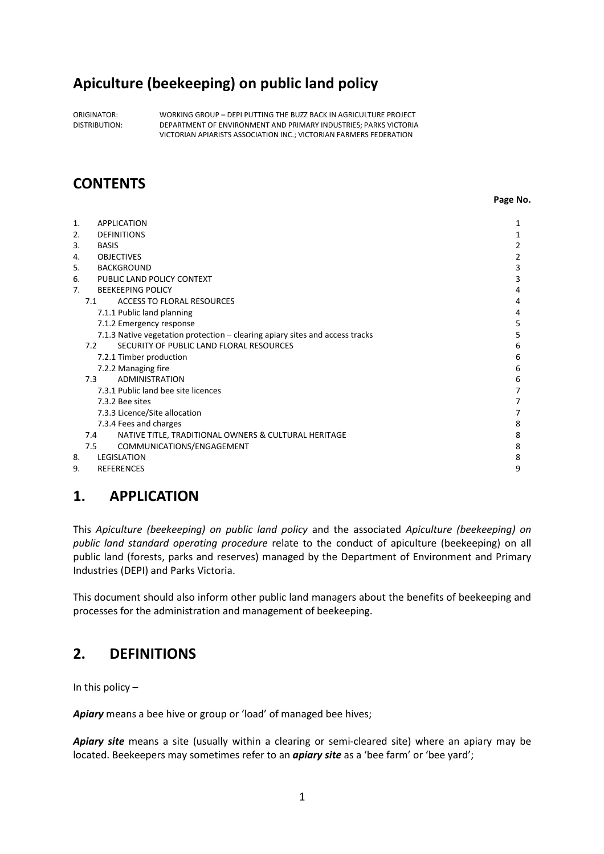# **Apiculture (beekeeping) on public land policy**

ORIGINATOR: WORKING GROUP – DEPI PUTTING THE BUZZ BACK IN AGRICULTURE PROJECT DISTRIBUTION: DEPARTMENT OF ENVIRONMENT AND PRIMARY INDUSTRIES; PARKS VICTORIA VICTORIAN APIARISTS ASSOCIATION INC.; VICTORIAN FARMERS FEDERATION

# **CONTENTS**

**Page No. Page No.** 

| 1. | <b>APPLICATION</b>                                                           | 1              |
|----|------------------------------------------------------------------------------|----------------|
| 2. | <b>DEFINITIONS</b>                                                           | 1              |
| 3. | <b>BASIS</b>                                                                 | 2              |
| 4. | <b>OBJECTIVES</b>                                                            | $\overline{2}$ |
| 5. | <b>BACKGROUND</b>                                                            | 3              |
| 6. | PUBLIC LAND POLICY CONTEXT                                                   | 3              |
| 7. | <b>BEEKEEPING POLICY</b>                                                     | 4              |
|    | ACCESS TO FLORAL RESOURCES<br>7.1                                            | 4              |
|    | 7.1.1 Public land planning                                                   | 4              |
|    | 7.1.2 Emergency response                                                     | 5              |
|    | 7.1.3 Native vegetation protection - clearing apiary sites and access tracks | 5              |
|    | SECURITY OF PUBLIC LAND FLORAL RESOURCES<br>7.2                              | 6              |
|    | 7.2.1 Timber production                                                      | 6              |
|    | 7.2.2 Managing fire                                                          | 6              |
|    | 7.3<br><b>ADMINISTRATION</b>                                                 | 6              |
|    | 7.3.1 Public land bee site licences                                          | 7              |
|    | 7.3.2 Bee sites                                                              | 7              |
|    | 7.3.3 Licence/Site allocation                                                | 7              |
|    | 7.3.4 Fees and charges                                                       | 8              |
|    | NATIVE TITLE, TRADITIONAL OWNERS & CULTURAL HERITAGE<br>7.4                  | 8              |
|    | COMMUNICATIONS/ENGAGEMENT<br>7.5                                             | 8              |
| 8. | <b>LEGISLATION</b>                                                           | 8              |
| 9. | <b>REFERENCES</b>                                                            | 9              |
|    |                                                                              |                |

# **1. APPLICATION**

This *Apiculture (beekeeping) on public land policy* and the associated *Apiculture (beekeeping) on public land standard operating procedure* relate to the conduct of apiculture (beekeeping) on all public land (forests, parks and reserves) managed by the Department of Environment and Primary Industries (DEPI) and Parks Victoria.

This document should also inform other public land managers about the benefits of beekeeping and processes for the administration and management of beekeeping.

# **2. DEFINITIONS**

In this policy  $-$ 

*Apiary* means a bee hive or group or 'load' of managed bee hives;

Apiary site means a site (usually within a clearing or semi-cleared site) where an apiary may be located. Beekeepers may sometimes refer to an *apiary site* as a 'bee farm' or 'bee yard';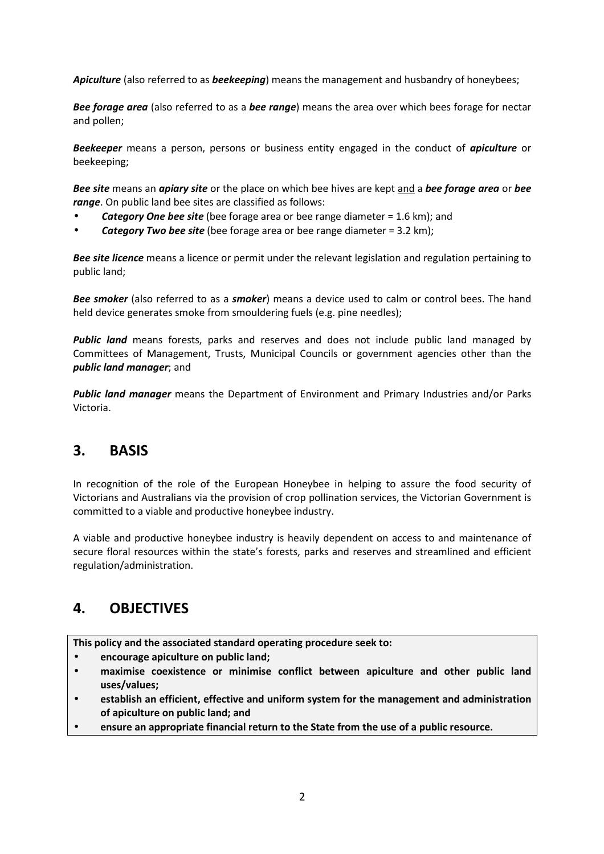*Apiculture* (also referred to as *beekeeping*) means the management and husbandry of honeybees;

*Bee forage area* (also referred to as a *bee range*) means the area over which bees forage for nectar and pollen;

*Beekeeper* means a person, persons or business entity engaged in the conduct of *apiculture* or beekeeping;

*Bee site* means an *apiary site* or the place on which bee hives are kept and a *bee forage area* or *bee range*. On public land bee sites are classified as follows:

- *Category One bee site* (bee forage area or bee range diameter = 1.6 km); and
- *Category Two bee site* (bee forage area or bee range diameter = 3.2 km);

*Bee site licence* means a licence or permit under the relevant legislation and regulation pertaining to public land;

*Bee smoker* (also referred to as a *smoker*) means a device used to calm or control bees. The hand held device generates smoke from smouldering fuels (e.g. pine needles);

*Public land* means forests, parks and reserves and does not include public land managed by Committees of Management, Trusts, Municipal Councils or government agencies other than the *public land manager*; and

*Public land manager* means the Department of Environment and Primary Industries and/or Parks Victoria.

## **3. BASIS**

In recognition of the role of the European Honeybee in helping to assure the food security of Victorians and Australians via the provision of crop pollination services, the Victorian Government is committed to a viable and productive honeybee industry.

A viable and productive honeybee industry is heavily dependent on access to and maintenance of secure floral resources within the state's forests, parks and reserves and streamlined and efficient regulation/administration.

# **4. OBJECTIVES**

**This policy and the associated standard operating procedure seek to:** 

- **encourage apiculture on public land;**
- **maximise coexistence or minimise conflict between apiculture and other public land uses/values;**
- **establish an efficient, effective and uniform system for the management and administration of apiculture on public land; and**
- **ensure an appropriate financial return to the State from the use of a public resource.**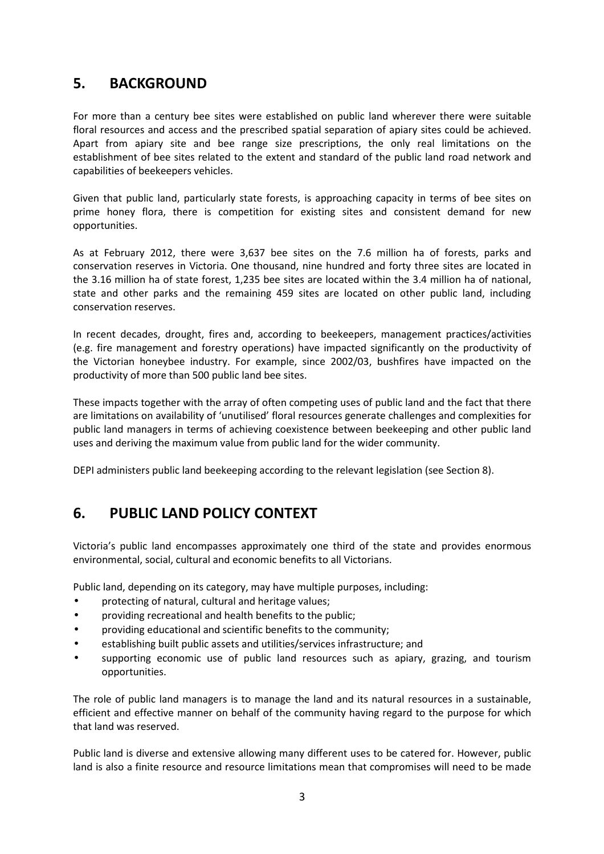# **5. BACKGROUND**

For more than a century bee sites were established on public land wherever there were suitable floral resources and access and the prescribed spatial separation of apiary sites could be achieved. Apart from apiary site and bee range size prescriptions, the only real limitations on the establishment of bee sites related to the extent and standard of the public land road network and capabilities of beekeepers vehicles.

Given that public land, particularly state forests, is approaching capacity in terms of bee sites on prime honey flora, there is competition for existing sites and consistent demand for new opportunities.

As at February 2012, there were 3,637 bee sites on the 7.6 million ha of forests, parks and conservation reserves in Victoria. One thousand, nine hundred and forty three sites are located in the 3.16 million ha of state forest, 1,235 bee sites are located within the 3.4 million ha of national, state and other parks and the remaining 459 sites are located on other public land, including conservation reserves.

In recent decades, drought, fires and, according to beekeepers, management practices/activities (e.g. fire management and forestry operations) have impacted significantly on the productivity of the Victorian honeybee industry. For example, since 2002/03, bushfires have impacted on the productivity of more than 500 public land bee sites.

These impacts together with the array of often competing uses of public land and the fact that there are limitations on availability of 'unutilised' floral resources generate challenges and complexities for public land managers in terms of achieving coexistence between beekeeping and other public land uses and deriving the maximum value from public land for the wider community.

DEPI administers public land beekeeping according to the relevant legislation (see Section 8).

# **6. PUBLIC LAND POLICY CONTEXT**

Victoria's public land encompasses approximately one third of the state and provides enormous environmental, social, cultural and economic benefits to all Victorians.

Public land, depending on its category, may have multiple purposes, including:

- protecting of natural, cultural and heritage values;
- providing recreational and health benefits to the public;
- providing educational and scientific benefits to the community;
- establishing built public assets and utilities/services infrastructure; and
- supporting economic use of public land resources such as apiary, grazing, and tourism opportunities.

The role of public land managers is to manage the land and its natural resources in a sustainable, efficient and effective manner on behalf of the community having regard to the purpose for which that land was reserved.

Public land is diverse and extensive allowing many different uses to be catered for. However, public land is also a finite resource and resource limitations mean that compromises will need to be made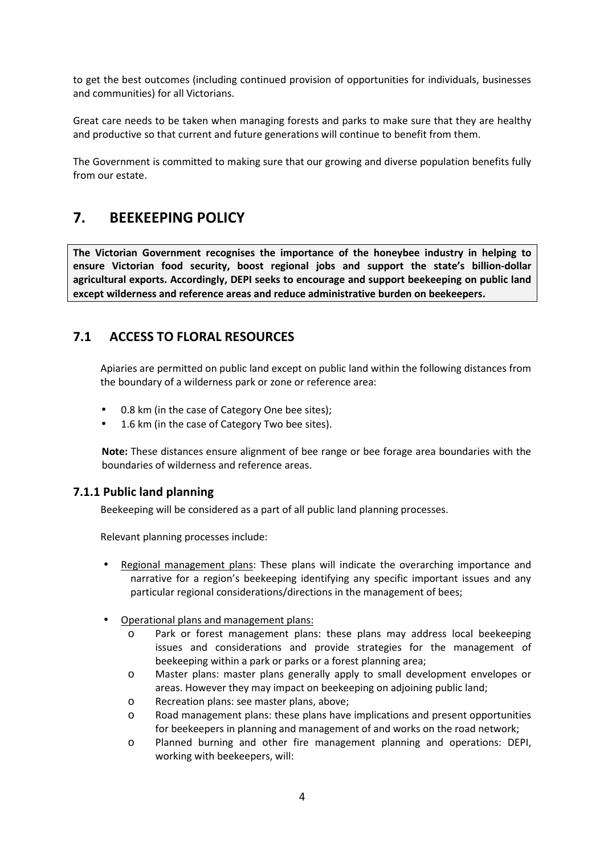to get the best outcomes (including continued provision of opportunities for individuals, businesses and communities) for all Victorians.

Great care needs to be taken when managing forests and parks to make sure that they are healthy and productive so that current and future generations will continue to benefit from them.

The Government is committed to making sure that our growing and diverse population benefits fully from our estate.

# **7. BEEKEEPING POLICY**

**The Victorian Government recognises the importance of the honeybee industry in helping to ensure Victorian food security, boost regional jobs and support the state's billion-dollar agricultural exports. Accordingly, DEPI seeks to encourage and support beekeeping on public land except wilderness and reference areas and reduce administrative burden on beekeepers.**

## **7.1 ACCESS TO FLORAL RESOURCES**

Apiaries are permitted on public land except on public land within the following distances from the boundary of a wilderness park or zone or reference area:

- 0.8 km (in the case of Category One bee sites);
- 1.6 km (in the case of Category Two bee sites).

**Note:** These distances ensure alignment of bee range or bee forage area boundaries with the boundaries of wilderness and reference areas.

### **7.1.1 Public land planning**

Beekeeping will be considered as a part of all public land planning processes.

Relevant planning processes include:

- Regional management plans: These plans will indicate the overarching importance and narrative for a region's beekeeping identifying any specific important issues and any particular regional considerations/directions in the management of bees;
- Operational plans and management plans:
	- o Park or forest management plans: these plans may address local beekeeping issues and considerations and provide strategies for the management of beekeeping within a park or parks or a forest planning area;
	- o Master plans: master plans generally apply to small development envelopes or areas. However they may impact on beekeeping on adjoining public land;
	- o Recreation plans: see master plans, above;
	- o Road management plans: these plans have implications and present opportunities for beekeepers in planning and management of and works on the road network;
	- o Planned burning and other fire management planning and operations: DEPI, working with beekeepers, will: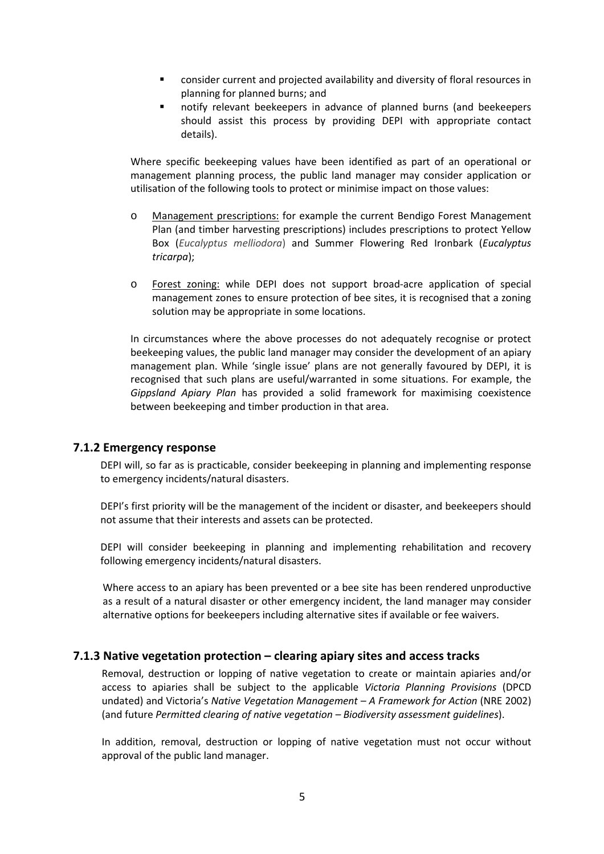- consider current and projected availability and diversity of floral resources in planning for planned burns; and
- notify relevant beekeepers in advance of planned burns (and beekeepers should assist this process by providing DEPI with appropriate contact details).

Where specific beekeeping values have been identified as part of an operational or management planning process, the public land manager may consider application or utilisation of the following tools to protect or minimise impact on those values:

- o Management prescriptions: for example the current Bendigo Forest Management Plan (and timber harvesting prescriptions) includes prescriptions to protect Yellow Box (*Eucalyptus melliodora*) and Summer Flowering Red Ironbark (*Eucalyptus tricarpa*);
- o Forest zoning: while DEPI does not support broad-acre application of special management zones to ensure protection of bee sites, it is recognised that a zoning solution may be appropriate in some locations.

In circumstances where the above processes do not adequately recognise or protect beekeeping values, the public land manager may consider the development of an apiary management plan. While 'single issue' plans are not generally favoured by DEPI, it is recognised that such plans are useful/warranted in some situations. For example, the *Gippsland Apiary Plan* has provided a solid framework for maximising coexistence between beekeeping and timber production in that area.

### **7.1.2 Emergency response**

DEPI will, so far as is practicable, consider beekeeping in planning and implementing response to emergency incidents/natural disasters.

DEPI's first priority will be the management of the incident or disaster, and beekeepers should not assume that their interests and assets can be protected.

DEPI will consider beekeeping in planning and implementing rehabilitation and recovery following emergency incidents/natural disasters.

Where access to an apiary has been prevented or a bee site has been rendered unproductive as a result of a natural disaster or other emergency incident, the land manager may consider alternative options for beekeepers including alternative sites if available or fee waivers.

### **7.1.3 Native vegetation protection – clearing apiary sites and access tracks**

Removal, destruction or lopping of native vegetation to create or maintain apiaries and/or access to apiaries shall be subject to the applicable *Victoria Planning Provisions* (DPCD undated) and Victoria's *Native Vegetation Management – A Framework for Action* (NRE 2002) (and future *Permitted clearing of native vegetation – Biodiversity assessment guidelines*).

In addition, removal, destruction or lopping of native vegetation must not occur without approval of the public land manager.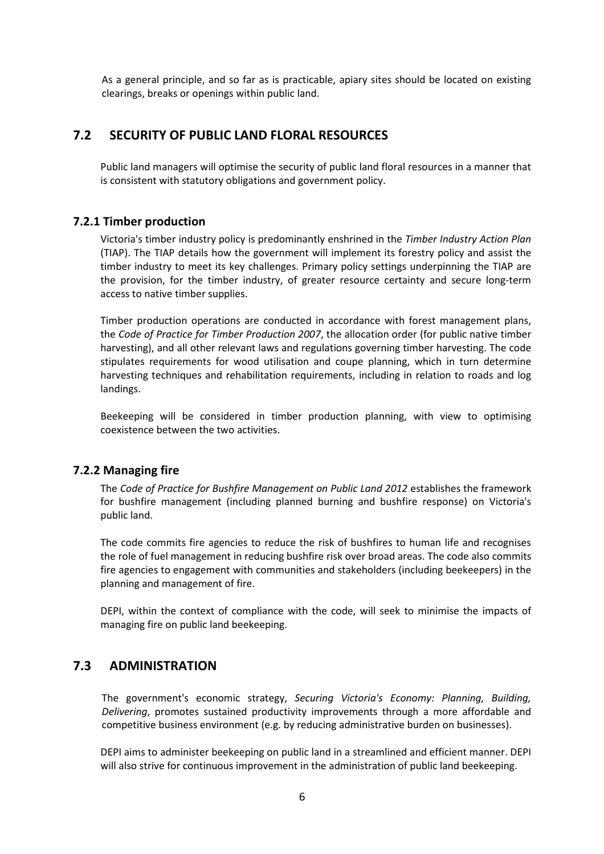As a general principle, and so far as is practicable, apiary sites should be located on existing clearings, breaks or openings within public land.

## **7.2 SECURITY OF PUBLIC LAND FLORAL RESOURCES**

Public land managers will optimise the security of public land floral resources in a manner that is consistent with statutory obligations and government policy.

### **7.2.1 Timber production**

Victoria's timber industry policy is predominantly enshrined in the *Timber Industry Action Plan* (TIAP). The TIAP details how the government will implement its forestry policy and assist the timber industry to meet its key challenges. Primary policy settings underpinning the TIAP are the provision, for the timber industry, of greater resource certainty and secure long-term access to native timber supplies.

Timber production operations are conducted in accordance with forest management plans, the *Code of Practice for Timber Production 2007*, the allocation order (for public native timber harvesting), and all other relevant laws and regulations governing timber harvesting. The code stipulates requirements for wood utilisation and coupe planning, which in turn determine harvesting techniques and rehabilitation requirements, including in relation to roads and log landings.

Beekeeping will be considered in timber production planning, with view to optimising coexistence between the two activities.

### **7.2.2 Managing fire**

The *Code of Practice for Bushfire Management on Public Land 2012* establishes the framework for bushfire management (including planned burning and bushfire response) on Victoria's public land.

The code commits fire agencies to reduce the risk of bushfires to human life and recognises the role of fuel management in reducing bushfire risk over broad areas. The code also commits fire agencies to engagement with communities and stakeholders (including beekeepers) in the planning and management of fire.

DEPI, within the context of compliance with the code, will seek to minimise the impacts of managing fire on public land beekeeping.

## **7.3 ADMINISTRATION**

The government's economic strategy, *Securing Victoria's Economy: Planning, Building, Delivering*, promotes sustained productivity improvements through a more affordable and competitive business environment (e.g. by reducing administrative burden on businesses).

DEPI aims to administer beekeeping on public land in a streamlined and efficient manner. DEPI will also strive for continuous improvement in the administration of public land beekeeping.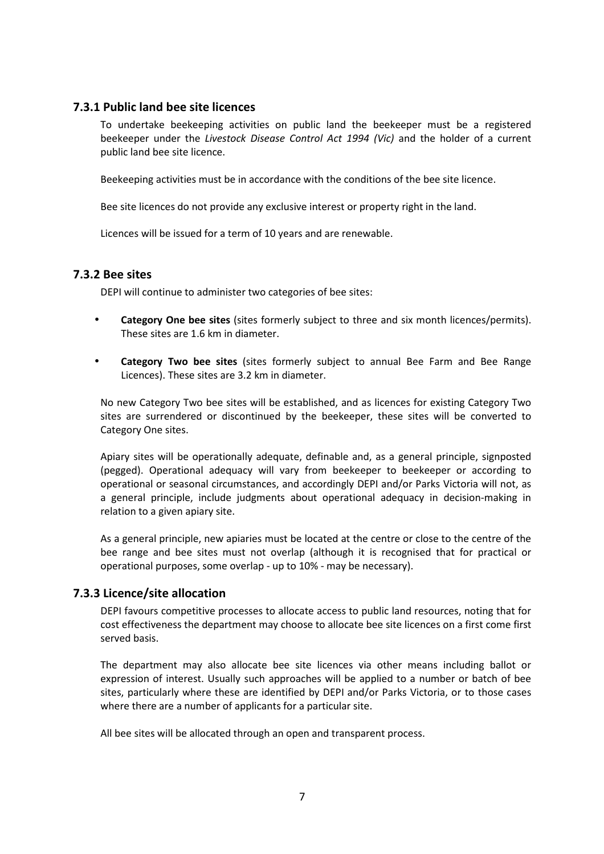### **7.3.1 Public land bee site licences**

To undertake beekeeping activities on public land the beekeeper must be a registered beekeeper under the *Livestock Disease Control Act 1994 (Vic)* and the holder of a current public land bee site licence.

Beekeeping activities must be in accordance with the conditions of the bee site licence.

Bee site licences do not provide any exclusive interest or property right in the land.

Licences will be issued for a term of 10 years and are renewable.

### **7.3.2 Bee sites**

DEPI will continue to administer two categories of bee sites:

- **Category One bee sites** (sites formerly subject to three and six month licences/permits). These sites are 1.6 km in diameter.
- **Category Two bee sites** (sites formerly subject to annual Bee Farm and Bee Range Licences). These sites are 3.2 km in diameter.

No new Category Two bee sites will be established, and as licences for existing Category Two sites are surrendered or discontinued by the beekeeper, these sites will be converted to Category One sites.

Apiary sites will be operationally adequate, definable and, as a general principle, signposted (pegged). Operational adequacy will vary from beekeeper to beekeeper or according to operational or seasonal circumstances, and accordingly DEPI and/or Parks Victoria will not, as a general principle, include judgments about operational adequacy in decision-making in relation to a given apiary site.

As a general principle, new apiaries must be located at the centre or close to the centre of the bee range and bee sites must not overlap (although it is recognised that for practical or operational purposes, some overlap - up to 10% - may be necessary).

### **7.3.3 Licence/site allocation**

DEPI favours competitive processes to allocate access to public land resources, noting that for cost effectiveness the department may choose to allocate bee site licences on a first come first served basis.

The department may also allocate bee site licences via other means including ballot or expression of interest. Usually such approaches will be applied to a number or batch of bee sites, particularly where these are identified by DEPI and/or Parks Victoria, or to those cases where there are a number of applicants for a particular site.

All bee sites will be allocated through an open and transparent process.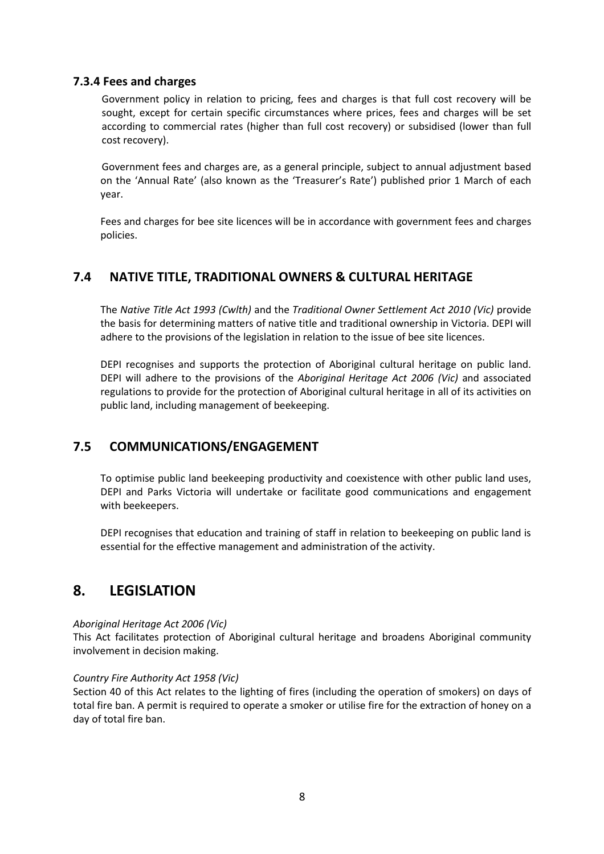## **7.3.4 Fees and charges**

Government policy in relation to pricing, fees and charges is that full cost recovery will be sought, except for certain specific circumstances where prices, fees and charges will be set according to commercial rates (higher than full cost recovery) or subsidised (lower than full cost recovery).

Government fees and charges are, as a general principle, subject to annual adjustment based on the 'Annual Rate' (also known as the 'Treasurer's Rate') published prior 1 March of each year.

Fees and charges for bee site licences will be in accordance with government fees and charges policies.

## **7.4 NATIVE TITLE, TRADITIONAL OWNERS & CULTURAL HERITAGE**

The *Native Title Act 1993 (Cwlth)* and the *Traditional Owner Settlement Act 2010 (Vic)* provide the basis for determining matters of native title and traditional ownership in Victoria. DEPI will adhere to the provisions of the legislation in relation to the issue of bee site licences.

DEPI recognises and supports the protection of Aboriginal cultural heritage on public land. DEPI will adhere to the provisions of the *Aboriginal Heritage Act 2006 (Vic)* and associated regulations to provide for the protection of Aboriginal cultural heritage in all of its activities on public land, including management of beekeeping.

## **7.5 COMMUNICATIONS/ENGAGEMENT**

To optimise public land beekeeping productivity and coexistence with other public land uses, DEPI and Parks Victoria will undertake or facilitate good communications and engagement with beekeepers.

DEPI recognises that education and training of staff in relation to beekeeping on public land is essential for the effective management and administration of the activity.

## **8. LEGISLATION**

### *Aboriginal Heritage Act 2006 (Vic)*

This Act facilitates protection of Aboriginal cultural heritage and broadens Aboriginal community involvement in decision making.

### *Country Fire Authority Act 1958 (Vic)*

Section 40 of this Act relates to the lighting of fires (including the operation of smokers) on days of total fire ban. A permit is required to operate a smoker or utilise fire for the extraction of honey on a day of total fire ban.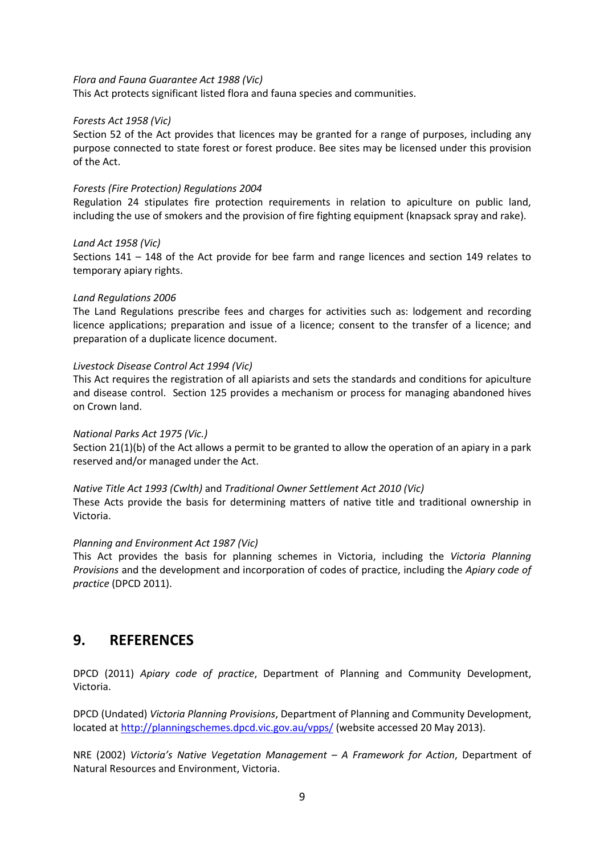#### *Flora and Fauna Guarantee Act 1988 (Vic)*

This Act protects significant listed flora and fauna species and communities.

### *Forests Act 1958 (Vic)*

Section 52 of the Act provides that licences may be granted for a range of purposes, including any purpose connected to state forest or forest produce. Bee sites may be licensed under this provision of the Act.

### *Forests (Fire Protection) Regulations 2004*

Regulation 24 stipulates fire protection requirements in relation to apiculture on public land, including the use of smokers and the provision of fire fighting equipment (knapsack spray and rake).

#### *Land Act 1958 (Vic)*

Sections 141 – 148 of the Act provide for bee farm and range licences and section 149 relates to temporary apiary rights.

#### *Land Regulations 2006*

The Land Regulations prescribe fees and charges for activities such as: lodgement and recording licence applications; preparation and issue of a licence; consent to the transfer of a licence; and preparation of a duplicate licence document.

#### *Livestock Disease Control Act 1994 (Vic)*

This Act requires the registration of all apiarists and sets the standards and conditions for apiculture and disease control. Section 125 provides a mechanism or process for managing abandoned hives on Crown land.

#### *National Parks Act 1975 (Vic.)*

Section 21(1)(b) of the Act allows a permit to be granted to allow the operation of an apiary in a park reserved and/or managed under the Act.

#### *Native Title Act 1993 (Cwlth)* and *Traditional Owner Settlement Act 2010 (Vic)*

These Acts provide the basis for determining matters of native title and traditional ownership in Victoria.

#### *Planning and Environment Act 1987 (Vic)*

This Act provides the basis for planning schemes in Victoria, including the *Victoria Planning Provisions* and the development and incorporation of codes of practice, including the *Apiary code of practice* (DPCD 2011).

## **9. REFERENCES**

DPCD (2011) *Apiary code of practice*, Department of Planning and Community Development, Victoria.

DPCD (Undated) *Victoria Planning Provisions*, Department of Planning and Community Development, located at http://planningschemes.dpcd.vic.gov.au/vpps/ (website accessed 20 May 2013).

NRE (2002) *Victoria's Native Vegetation Management – A Framework for Action*, Department of Natural Resources and Environment, Victoria.